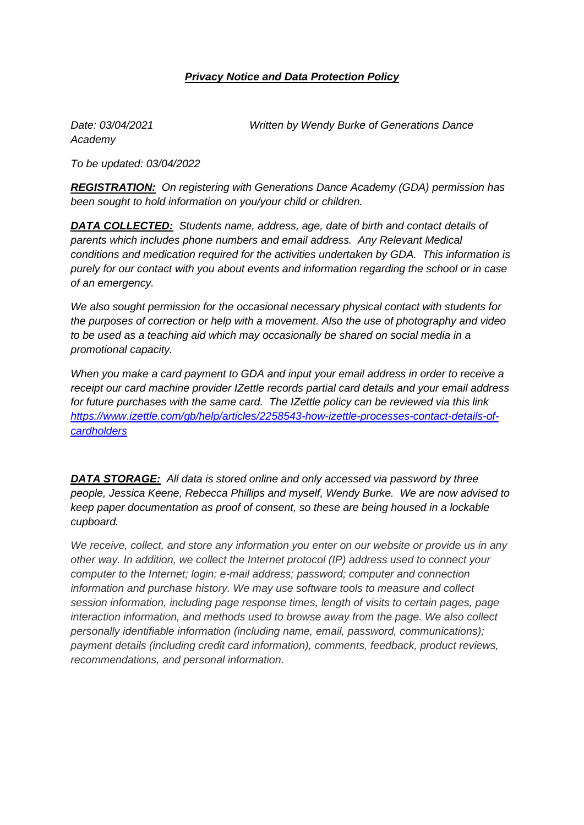## *Privacy Notice and Data Protection Policy*

*Academy*

*Date: 03/04/2021 Written by Wendy Burke of Generations Dance* 

*To be updated: 03/04/2022*

*REGISTRATION: On registering with Generations Dance Academy (GDA) permission has been sought to hold information on you/your child or children.* 

*DATA COLLECTED: Students name, address, age, date of birth and contact details of parents which includes phone numbers and email address. Any Relevant Medical conditions and medication required for the activities undertaken by GDA. This information is purely for our contact with you about events and information regarding the school or in case of an emergency.* 

*We also sought permission for the occasional necessary physical contact with students for the purposes of correction or help with a movement. Also the use of photography and video to be used as a teaching aid which may occasionally be shared on social media in a promotional capacity.*

*When you make a card payment to GDA and input your email address in order to receive a receipt our card machine provider IZettle records partial card details and your email address for future purchases with the same card. The IZettle policy can be reviewed via this link [https://www.izettle.com/gb/help/articles/2258543-how-izettle-processes-contact-details-of](https://www.izettle.com/gb/help/articles/2258543-how-izettle-processes-contact-details-of-cardholders)[cardholders](https://www.izettle.com/gb/help/articles/2258543-how-izettle-processes-contact-details-of-cardholders)* 

*DATA STORAGE: All data is stored online and only accessed via password by three people, Jessica Keene, Rebecca Phillips and myself, Wendy Burke. We are now advised to keep paper documentation as proof of consent, so these are being housed in a lockable cupboard.*

*We receive, collect, and store any information you enter on our website or provide us in any other way. In addition, we collect the Internet protocol (IP) address used to connect your computer to the Internet; login; e-mail address; password; computer and connection information and purchase history. We may use software tools to measure and collect session information, including page response times, length of visits to certain pages, page interaction information, and methods used to browse away from the page. We also collect personally identifiable information (including name, email, password, communications); payment details (including credit card information), comments, feedback, product reviews, recommendations, and personal information.*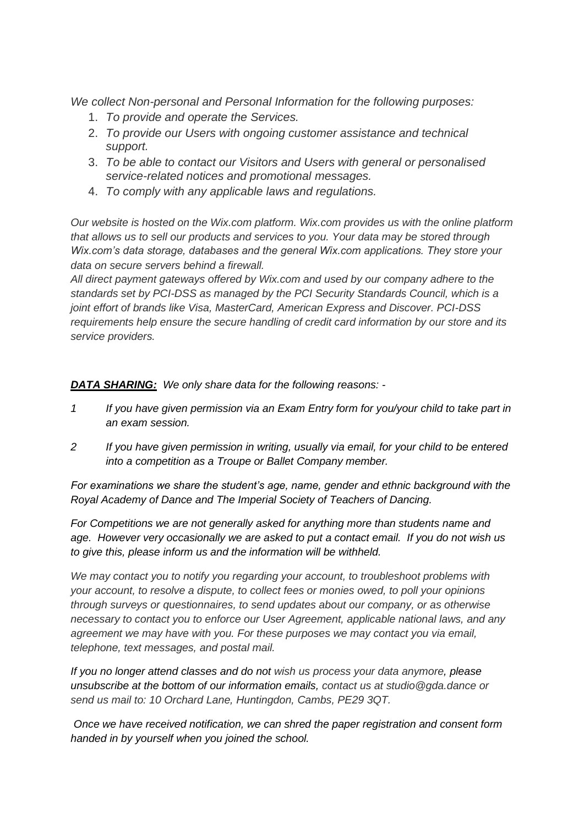*We collect Non-personal and Personal Information for the following purposes:*

- 1. *To provide and operate the Services.*
- 2. *To provide our Users with ongoing customer assistance and technical support.*
- 3. *To be able to contact our Visitors and Users with general or personalised service-related notices and promotional messages.*
- 4. *To comply with any applicable laws and regulations.*

*Our website is hosted on the Wix.com platform. Wix.com provides us with the online platform that allows us to sell our products and services to you. Your data may be stored through Wix.com's data storage, databases and the general Wix.com applications. They store your data on secure servers behind a firewall.*

*All direct payment gateways offered by Wix.com and used by our company adhere to the standards set by PCI-DSS as managed by the PCI Security Standards Council, which is a joint effort of brands like Visa, MasterCard, American Express and Discover. PCI-DSS requirements help ensure the secure handling of credit card information by our store and its service providers.*

*DATA SHARING: We only share data for the following reasons: -*

- *1 If you have given permission via an Exam Entry form for you/your child to take part in an exam session.*
- *2 If you have given permission in writing, usually via email, for your child to be entered into a competition as a Troupe or Ballet Company member.*

*For examinations we share the student's age, name, gender and ethnic background with the Royal Academy of Dance and The Imperial Society of Teachers of Dancing.*

*For Competitions we are not generally asked for anything more than students name and age. However very occasionally we are asked to put a contact email. If you do not wish us to give this, please inform us and the information will be withheld.*

*We may contact you to notify you regarding your account, to troubleshoot problems with your account, to resolve a dispute, to collect fees or monies owed, to poll your opinions through surveys or questionnaires, to send updates about our company, or as otherwise necessary to contact you to enforce our User Agreement, applicable national laws, and any agreement we may have with you. For these purposes we may contact you via email, telephone, text messages, and postal mail.*

*If you no longer attend classes and do not wish us process your data anymore, please unsubscribe at the bottom of our information emails, contact us at studio@gda.dance or send us mail to: 10 Orchard Lane, Huntingdon, Cambs, PE29 3QT.*

*Once we have received notification, we can shred the paper registration and consent form handed in by yourself when you joined the school.*